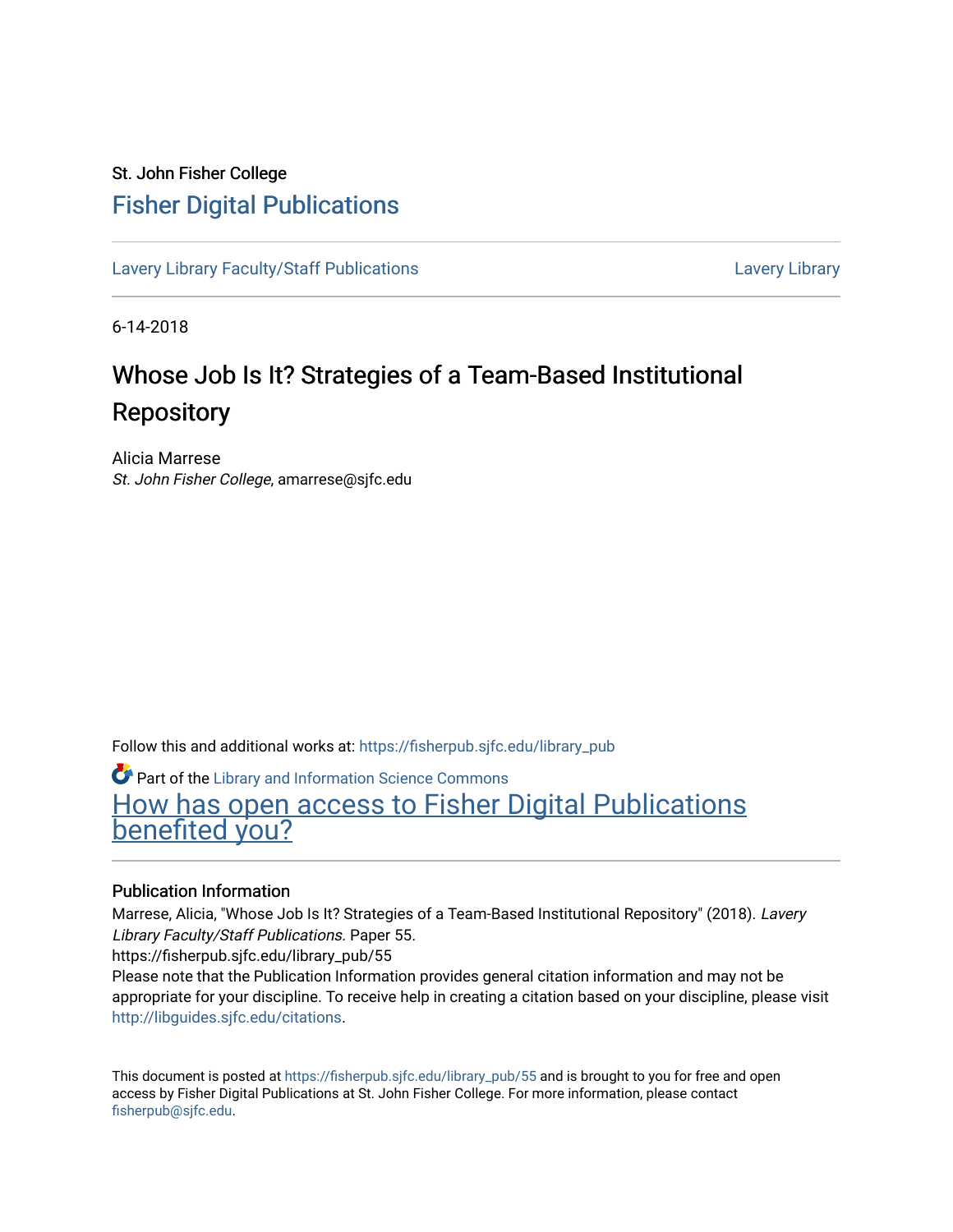#### St. John Fisher College [Fisher Digital Publications](https://fisherpub.sjfc.edu/)

[Lavery Library Faculty/Staff Publications](https://fisherpub.sjfc.edu/library_pub) **Latter Controllery Library Library** Lavery Library

6-14-2018

#### Whose Job Is It? Strategies of a Team-Based Institutional **Repository**

Alicia Marrese St. John Fisher College, amarrese@sjfc.edu

Follow this and additional works at: [https://fisherpub.sjfc.edu/library\\_pub](https://fisherpub.sjfc.edu/library_pub?utm_source=fisherpub.sjfc.edu%2Flibrary_pub%2F55&utm_medium=PDF&utm_campaign=PDFCoverPages)

Part of the [Library and Information Science Commons](http://network.bepress.com/hgg/discipline/1018?utm_source=fisherpub.sjfc.edu%2Flibrary_pub%2F55&utm_medium=PDF&utm_campaign=PDFCoverPages)  [How has open access to Fisher Digital Publications](https://docs.google.com/forms/d/14zrnDfH9d1wcdq8oG_-gFabAsxfcH5claltx85ZWyTg/viewform?entry.1394608989=https://fisherpub.sjfc.edu/library_pub/55%3Chttps://docs.google.com/forms/d/14zrnDfH9d1wcdq8oG_-gFabAsxfcH5claltx85ZWyTg/viewform?entry.1394608989=%7bhttps://fisherpub.sjfc.edu/library_pub/55%7d) [benefited you?](https://docs.google.com/forms/d/14zrnDfH9d1wcdq8oG_-gFabAsxfcH5claltx85ZWyTg/viewform?entry.1394608989=https://fisherpub.sjfc.edu/library_pub/55%3Chttps://docs.google.com/forms/d/14zrnDfH9d1wcdq8oG_-gFabAsxfcH5claltx85ZWyTg/viewform?entry.1394608989=%7bhttps://fisherpub.sjfc.edu/library_pub/55%7d)

#### Publication Information

Marrese, Alicia, "Whose Job Is It? Strategies of a Team-Based Institutional Repository" (2018). Lavery Library Faculty/Staff Publications. Paper 55.

https://fisherpub.sjfc.edu/library\_pub/55

Please note that the Publication Information provides general citation information and may not be appropriate for your discipline. To receive help in creating a citation based on your discipline, please visit [http://libguides.sjfc.edu/citations.](http://libguides.sjfc.edu/citations)

This document is posted at [https://fisherpub.sjfc.edu/library\\_pub/55](https://fisherpub.sjfc.edu/library_pub/55) and is brought to you for free and open access by Fisher Digital Publications at St. John Fisher College. For more information, please contact [fisherpub@sjfc.edu](mailto:fisherpub@sjfc.edu).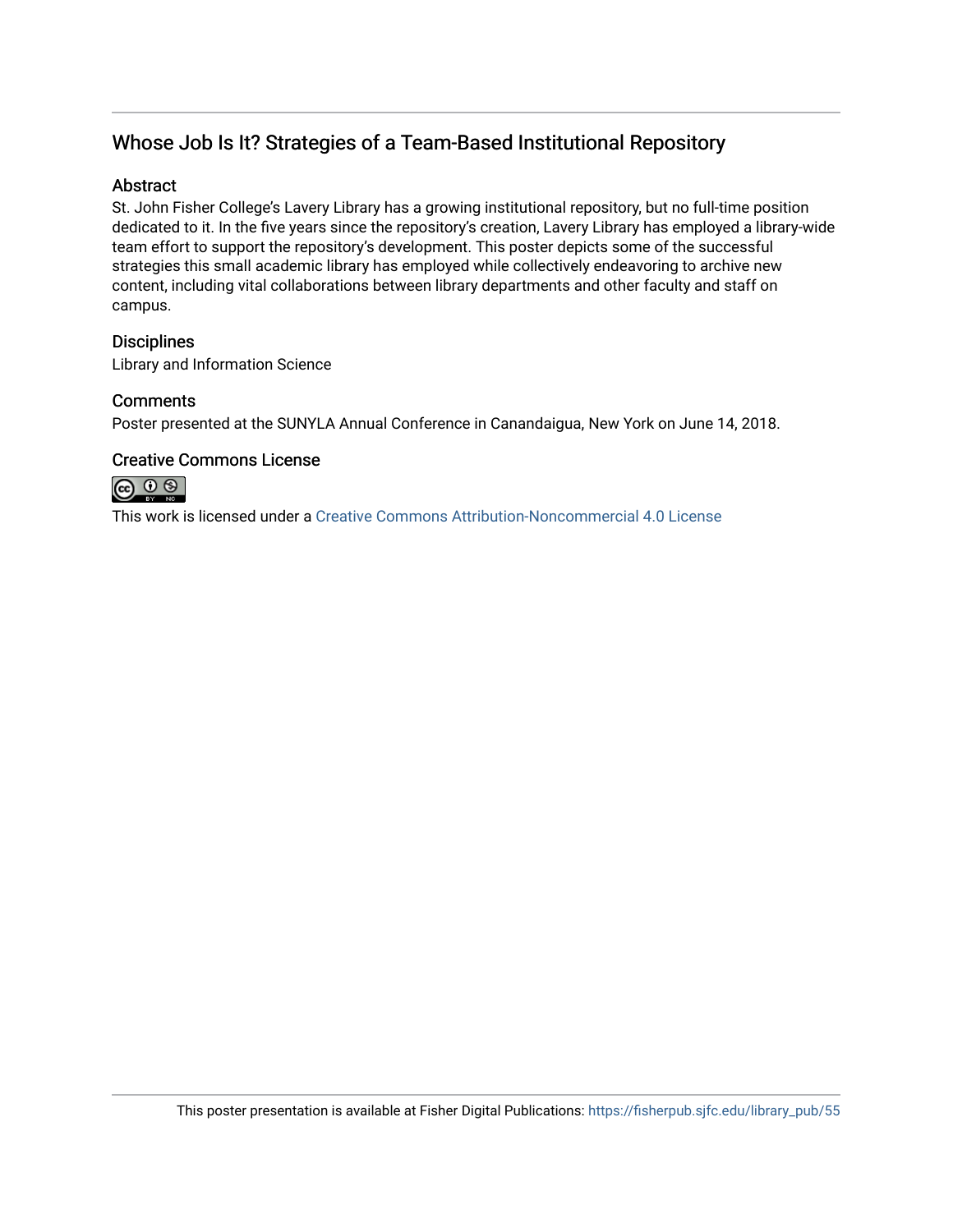#### Whose Job Is It? Strategies of a Team-Based Institutional Repository

#### **Abstract**

St. John Fisher College's Lavery Library has a growing institutional repository, but no full-time position dedicated to it. In the five years since the repository's creation, Lavery Library has employed a library-wide team effort to support the repository's development. This poster depicts some of the successful strategies this small academic library has employed while collectively endeavoring to archive new content, including vital collaborations between library departments and other faculty and staff on campus.

#### **Disciplines**

Library and Information Science

#### **Comments**

Poster presented at the SUNYLA Annual Conference in Canandaigua, New York on June 14, 2018.

#### Creative Commons License



This work is licensed under a [Creative Commons Attribution-Noncommercial 4.0 License](https://creativecommons.org/licenses/by-nc/4.0/)